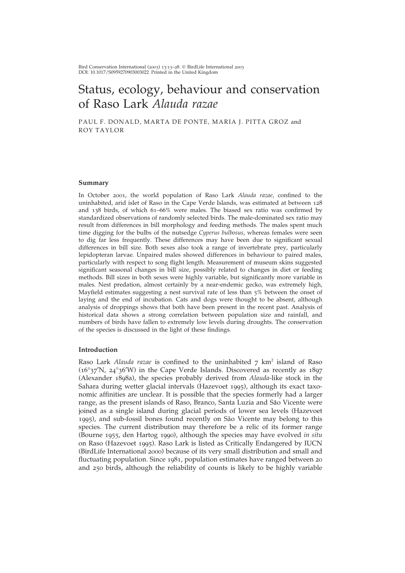# Status, ecology, behaviour and conservation of Raso Lark *Alauda razae*

PAUL F. DONALD, MARTA DE PONTE, MARIA J. PITTA GROZ and ROY TAYLOR

# **Summary**

In October 2001, the world population of Raso Lark *Alauda razae*, confined to the uninhabited, arid islet of Raso in the Cape Verde Islands, was estimated at between 128 and 138 birds, of which 61–66% were males. The biased sex ratio was confirmed by standardized observations of randomly selected birds. The male-dominated sex ratio may result from differences in bill morphology and feeding methods. The males spent much time digging for the bulbs of the nutsedge *Cyperus bulbosus*, whereas females were seen to dig far less frequently. These differences may have been due to significant sexual differences in bill size. Both sexes also took a range of invertebrate prey, particularly lepidopteran larvae. Unpaired males showed differences in behaviour to paired males, particularly with respect to song flight length. Measurement of museum skins suggested significant seasonal changes in bill size, possibly related to changes in diet or feeding methods. Bill sizes in both sexes were highly variable, but significantly more variable in males. Nest predation, almost certainly by a near-endemic gecko, was extremely high, Mayfield estimates suggesting a nest survival rate of less than 5% between the onset of laying and the end of incubation. Cats and dogs were thought to be absent, although analysis of droppings shows that both have been present in the recent past. Analysis of historical data shows a strong correlation between population size and rainfall, and numbers of birds have fallen to extremely low levels during droughts. The conservation of the species is discussed in the light of these findings.

## **Introduction**

Raso Lark *Alauda razae* is confined to the uninhabited 7 km<sup>2</sup> island of Raso (16°37′N, 24°36′W) in the Cape Verde Islands. Discovered as recently as 1897 (Alexander 1898a), the species probably derived from *Alauda*-like stock in the Sahara during wetter glacial intervals (Hazevoet 1995), although its exact taxonomic affinities are unclear. It is possible that the species formerly had a larger range, as the present islands of Raso, Branco, Santa Luzia and São Vicente were joined as a single island during glacial periods of lower sea levels (Hazevoet 1995), and sub-fossil bones found recently on São Vicente may belong to this species. The current distribution may therefore be a relic of its former range (Bourne 1955, den Hartog 1990), although the species may have evolved *in situ* on Raso (Hazevoet 1995). Raso Lark is listed as Critically Endangered by IUCN (BirdLife International 2000) because of its very small distribution and small and fluctuating population. Since 1981, population estimates have ranged between 20 and 250 birds, although the reliability of counts is likely to be highly variable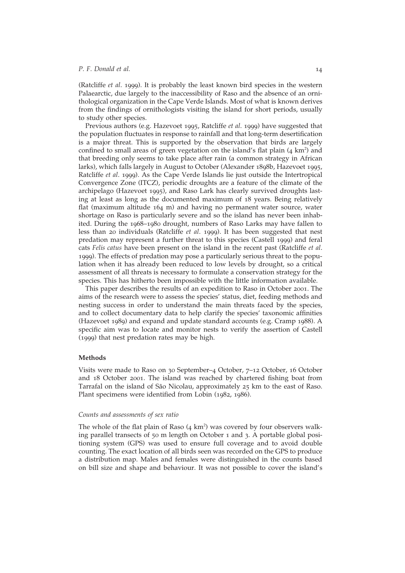(Ratcliffe *et al*. 1999). It is probably the least known bird species in the western Palaearctic, due largely to the inaccessibility of Raso and the absence of an ornithological organization in the Cape Verde Islands. Most of what is known derives from the findings of ornithologists visiting the island for short periods, usually to study other species.

Previous authors (e.g. Hazevoet 1995, Ratcliffe *et al*. 1999) have suggested that the population fluctuates in response to rainfall and that long-term desertification is a major threat. This is supported by the observation that birds are largely confined to small areas of green vegetation on the island's flat plain  $(4 \text{ km}^2)$  and that breeding only seems to take place after rain (a common strategy in African larks), which falls largely in August to October (Alexander 1898b, Hazevoet 1995, Ratcliffe *et al*. 1999). As the Cape Verde Islands lie just outside the Intertropical Convergence Zone (ITCZ), periodic droughts are a feature of the climate of the archipelago (Hazevoet 1995), and Raso Lark has clearly survived droughts lasting at least as long as the documented maximum of 18 years. Being relatively flat (maximum altitude 164 m) and having no permanent water source, water shortage on Raso is particularly severe and so the island has never been inhabited. During the 1968–1980 drought, numbers of Raso Larks may have fallen to less than 20 individuals (Ratcliffe *et al*. 1999). It has been suggested that nest predation may represent a further threat to this species (Castell 1999) and feral cats *Felis catus* have been present on the island in the recent past (Ratcliffe *et al*. 1999). The effects of predation may pose a particularly serious threat to the population when it has already been reduced to low levels by drought, so a critical assessment of all threats is necessary to formulate a conservation strategy for the species. This has hitherto been impossible with the little information available.

This paper describes the results of an expedition to Raso in October 2001. The aims of the research were to assess the species' status, diet, feeding methods and nesting success in order to understand the main threats faced by the species, and to collect documentary data to help clarify the species' taxonomic affinities (Hazevoet 1989) and expand and update standard accounts (e.g. Cramp 1988). A specific aim was to locate and monitor nests to verify the assertion of Castell (1999) that nest predation rates may be high.

## **Methods**

Visits were made to Raso on 30 September–4 October, 7–12 October, 16 October and 18 October 2001. The island was reached by chartered fishing boat from Tarrafal on the island of São Nicolau, approximately 25 km to the east of Raso. Plant specimens were identified from Lobin (1982, 1986).

## *Counts and assessments of sex ratio*

The whole of the flat plain of Raso  $(4 \text{ km}^2)$  was covered by four observers walking parallel transects of 50 m length on October 1 and 3. A portable global positioning system (GPS) was used to ensure full coverage and to avoid double counting. The exact location of all birds seen was recorded on the GPS to produce a distribution map. Males and females were distinguished in the counts based on bill size and shape and behaviour. It was not possible to cover the island's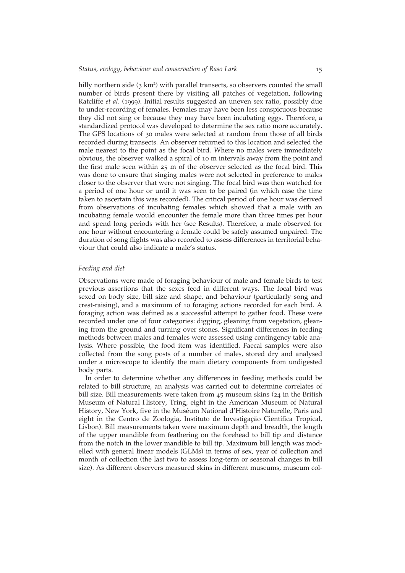hilly northern side (3 km<sup>2</sup>) with parallel transects, so observers counted the small number of birds present there by visiting all patches of vegetation, following Ratcliffe *et al*. (1999). Initial results suggested an uneven sex ratio, possibly due to under-recording of females. Females may have been less conspicuous because they did not sing or because they may have been incubating eggs. Therefore, a standardized protocol was developed to determine the sex ratio more accurately. The GPS locations of 30 males were selected at random from those of all birds recorded during transects. An observer returned to this location and selected the male nearest to the point as the focal bird. Where no males were immediately obvious, the observer walked a spiral of 10 m intervals away from the point and the first male seen within 25 m of the observer selected as the focal bird. This was done to ensure that singing males were not selected in preference to males closer to the observer that were not singing. The focal bird was then watched for a period of one hour or until it was seen to be paired (in which case the time taken to ascertain this was recorded). The critical period of one hour was derived from observations of incubating females which showed that a male with an incubating female would encounter the female more than three times per hour and spend long periods with her (see Results). Therefore, a male observed for one hour without encountering a female could be safely assumed unpaired. The duration of song flights was also recorded to assess differences in territorial behaviour that could also indicate a male's status.

## *Feeding and diet*

Observations were made of foraging behaviour of male and female birds to test previous assertions that the sexes feed in different ways. The focal bird was sexed on body size, bill size and shape, and behaviour (particularly song and crest-raising), and a maximum of 10 foraging actions recorded for each bird. A foraging action was defined as a successful attempt to gather food. These were recorded under one of four categories: digging, gleaning from vegetation, gleaning from the ground and turning over stones. Significant differences in feeding methods between males and females were assessed using contingency table analysis. Where possible, the food item was identified. Faecal samples were also collected from the song posts of a number of males, stored dry and analysed under a microscope to identify the main dietary components from undigested body parts.

In order to determine whether any differences in feeding methods could be related to bill structure, an analysis was carried out to determine correlates of bill size. Bill measurements were taken from 45 museum skins (24 in the British Museum of Natural History, Tring, eight in the American Museum of Natural History, New York, five in the Muséum National d'Histoire Naturelle, Paris and eight in the Centro de Zoologia, Instituto de Investigação Científica Tropical, Lisbon). Bill measurements taken were maximum depth and breadth, the length of the upper mandible from feathering on the forehead to bill tip and distance from the notch in the lower mandible to bill tip. Maximum bill length was modelled with general linear models (GLMs) in terms of sex, year of collection and month of collection (the last two to assess long-term or seasonal changes in bill size). As different observers measured skins in different museums, museum col-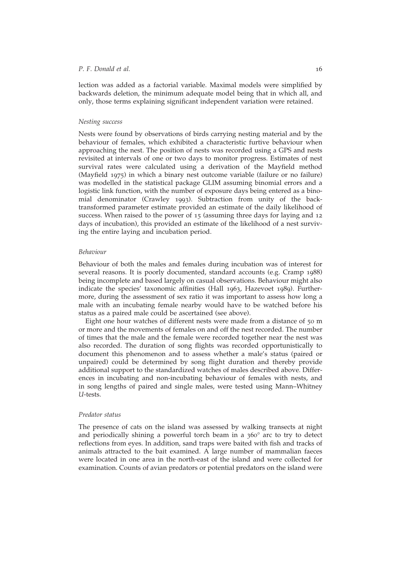lection was added as a factorial variable. Maximal models were simplified by backwards deletion, the minimum adequate model being that in which all, and only, those terms explaining significant independent variation were retained.

#### *Nesting success*

Nests were found by observations of birds carrying nesting material and by the behaviour of females, which exhibited a characteristic furtive behaviour when approaching the nest. The position of nests was recorded using a GPS and nests revisited at intervals of one or two days to monitor progress. Estimates of nest survival rates were calculated using a derivation of the Mayfield method (Mayfield 1975) in which a binary nest outcome variable (failure or no failure) was modelled in the statistical package GLIM assuming binomial errors and a logistic link function, with the number of exposure days being entered as a binomial denominator (Crawley 1993). Subtraction from unity of the backtransformed parameter estimate provided an estimate of the daily likelihood of success. When raised to the power of 15 (assuming three days for laying and 12 days of incubation), this provided an estimate of the likelihood of a nest surviving the entire laying and incubation period.

# *Behaviour*

Behaviour of both the males and females during incubation was of interest for several reasons. It is poorly documented, standard accounts (e.g. Cramp 1988) being incomplete and based largely on casual observations. Behaviour might also indicate the species' taxonomic affinities (Hall 1963, Hazevoet 1989). Furthermore, during the assessment of sex ratio it was important to assess how long a male with an incubating female nearby would have to be watched before his status as a paired male could be ascertained (see above).

Eight one hour watches of different nests were made from a distance of 50 m or more and the movements of females on and off the nest recorded. The number of times that the male and the female were recorded together near the nest was also recorded. The duration of song flights was recorded opportunistically to document this phenomenon and to assess whether a male's status (paired or unpaired) could be determined by song flight duration and thereby provide additional support to the standardized watches of males described above. Differences in incubating and non-incubating behaviour of females with nests, and in song lengths of paired and single males, were tested using Mann–Whitney *U*-tests.

## *Predator status*

The presence of cats on the island was assessed by walking transects at night and periodically shining a powerful torch beam in a 360° arc to try to detect reflections from eyes. In addition, sand traps were baited with fish and tracks of animals attracted to the bait examined. A large number of mammalian faeces were located in one area in the north-east of the island and were collected for examination. Counts of avian predators or potential predators on the island were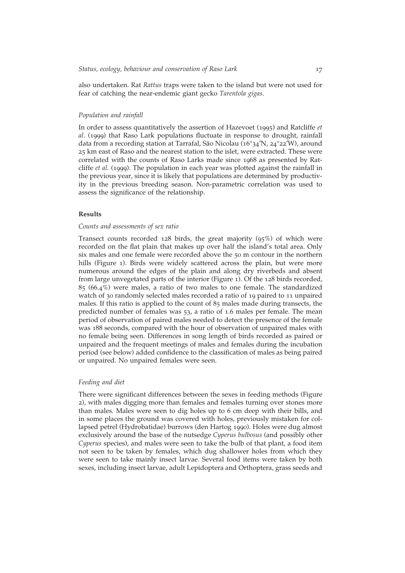also undertaken. Rat *Rattus* traps were taken to the island but were not used for fear of catching the near-endemic giant gecko *Tarentola gigas*.

## *Population and rainfall*

In order to assess quantitatively the assertion of Hazevoet (1995) and Ratcliffe *et al*. (1999) that Raso Lark populations fluctuate in response to drought, rainfall data from a recording station at Tarrafal, São Nicolau (16°34'N, 24°22'W), around 25 km east of Raso and the nearest station to the islet, were extracted. These were correlated with the counts of Raso Larks made since 1968 as presented by Ratcliffe *et al*. (1999). The population in each year was plotted against the rainfall in the previous year, since it is likely that populations are determined by productivity in the previous breeding season. Non-parametric correlation was used to assess the significance of the relationship.

# **Results**

# *Counts and assessments of sex ratio*

Transect counts recorded 128 birds, the great majority (95%) of which were recorded on the flat plain that makes up over half the island's total area. Only six males and one female were recorded above the 50 m contour in the northern hills (Figure 1). Birds were widely scattered across the plain, but were more numerous around the edges of the plain and along dry riverbeds and absent from large unvegetated parts of the interior (Figure 1). Of the 128 birds recorded, 85 (66.4%) were males, a ratio of two males to one female. The standardized watch of 30 randomly selected males recorded a ratio of 19 paired to 11 unpaired males. If this ratio is applied to the count of 85 males made during transects, the predicted number of females was 53, a ratio of 1.6 males per female. The mean period of observation of paired males needed to detect the presence of the female was 188 seconds, compared with the hour of observation of unpaired males with no female being seen. Differences in song length of birds recorded as paired or unpaired and the frequent meetings of males and females during the incubation period (see below) added confidence to the classification of males as being paired or unpaired. No unpaired females were seen.

## *Feeding and diet*

There were significant differences between the sexes in feeding methods (Figure 2), with males digging more than females and females turning over stones more than males. Males were seen to dig holes up to 6 cm deep with their bills, and in some places the ground was covered with holes, previously mistaken for collapsed petrel (Hydrobatidae) burrows (den Hartog 1990). Holes were dug almost exclusively around the base of the nutsedge *Cyperus bulbosus* (and possibly other *Cyperus* species), and males were seen to take the bulb of that plant, a food item not seen to be taken by females, which dug shallower holes from which they were seen to take mainly insect larvae. Several food items were taken by both sexes, including insect larvae, adult Lepidoptera and Orthoptera, grass seeds and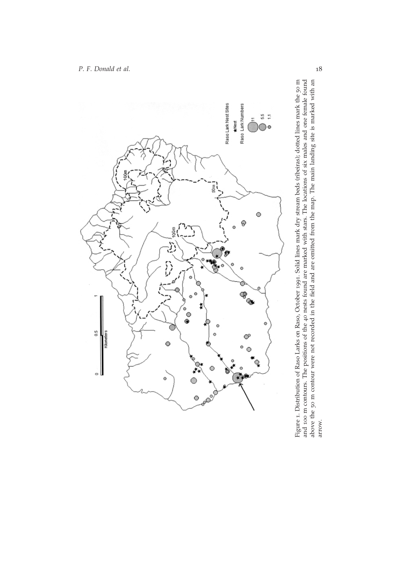

Figure 1. Distribution of Raso Larks on Raso, October 1991. Solid lines mark dry stream beds (ribeiras); dotted lines mark the 50 m above the 50 m contour were not recorded in the field and are omitted from the map. The main landing site is marked with an arrow. and 100 m contours. The positions of the 40 nests found are marked with stars. The locations of six males and one female found Figure 1. Distribution of Raso Larks on Raso, October 1991. Solid lines mark dry stream beds (ribeiras); dotted lines mark the 50 m<br>and 100 m contours. The positions of the 40 nests found are marked with stars. The locatio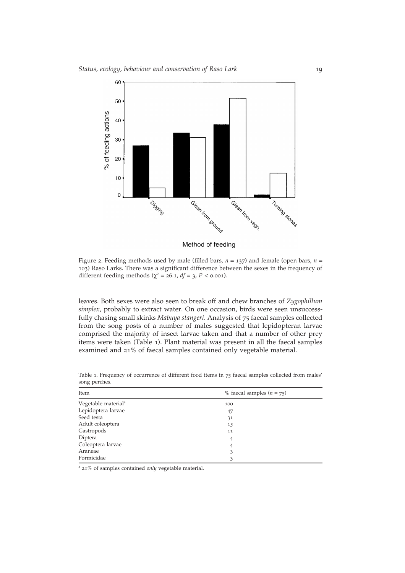

Method of feeding

Figure 2. Feeding methods used by male (filled bars, *n* = 137) and female (open bars, *n* = 103) Raso Larks. There was a significant difference between the sexes in the frequency of different feeding methods ( $χ² = 26.1$ ,  $df = 3$ ,  $P < 0.001$ ).

leaves. Both sexes were also seen to break off and chew branches of *Zygophillum simplex*, probably to extract water. On one occasion, birds were seen unsuccessfully chasing small skinks *Mabuya stangeri*. Analysis of 75 faecal samples collected from the song posts of a number of males suggested that lepidopteran larvae comprised the majority of insect larvae taken and that a number of other prey items were taken (Table 1). Plant material was present in all the faecal samples examined and 21% of faecal samples contained only vegetable material.

| Item                            | % faecal samples $(n = 75)$ |
|---------------------------------|-----------------------------|
| Vegetable material <sup>a</sup> | 100                         |
| Lepidoptera larvae              | 47                          |
| Seed testa                      | 31                          |
| Adult coleoptera                | 15                          |
| Gastropods                      | 11                          |
| Diptera                         | $\overline{4}$              |
| Coleoptera larvae               | 4                           |
| Araneae                         | 3                           |
| Formicidae                      | 3                           |

Table 1. Frequency of occurrence of different food items in 75 faecal samples collected from males' song perches.

<sup>a</sup> 21% of samples contained *only* vegetable material.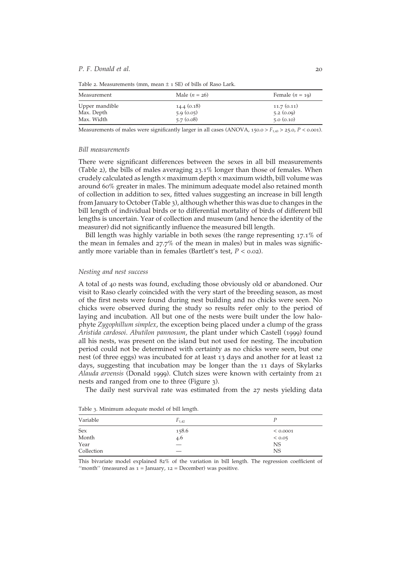| Measurement    | Male $(n = 26)$ | Female $(n = 19)$ |
|----------------|-----------------|-------------------|
| Upper mandible | 14.4(0.18)      | 11.7(0.11)        |
| Max. Depth     | 5.9(0.05)       | 5.2(0.09)         |
| Max. Width     | 5.7(0.08)       | 5.0(0.10)         |

Table 2. Measurements (mm, mean  $\pm$  1 SE) of bills of Raso Lark.

Measurements of males were significantly larger in all cases (ANOVA, 150.0 > *F*1,43 > 25.0, *P* < 0.001).

#### *Bill measurements*

There were significant differences between the sexes in all bill measurements (Table 2), the bills of males averaging 23.1% longer than those of females. When crudely calculated as length × maximum depth × maximum width, bill volume was around 60% greater in males. The minimum adequate model also retained month of collection in addition to sex, fitted values suggesting an increase in bill length from January to October (Table 3), although whether this was due to changes in the bill length of individual birds or to differential mortality of birds of different bill lengths is uncertain. Year of collection and museum (and hence the identity of the measurer) did not significantly influence the measured bill length.

Bill length was highly variable in both sexes (the range representing 17.1% of the mean in females and 27.7% of the mean in males) but in males was significantly more variable than in females (Bartlett's test, *P* < 0.02).

## *Nesting and nest success*

A total of 40 nests was found, excluding those obviously old or abandoned. Our visit to Raso clearly coincided with the very start of the breeding season, as most of the first nests were found during nest building and no chicks were seen. No chicks were observed during the study so results refer only to the period of laying and incubation. All but one of the nests were built under the low halophyte *Zygophillum simplex*, the exception being placed under a clump of the grass *Aristida cardosoi*. *Abutilon pannosum*, the plant under which Castell (1999) found all his nests, was present on the island but not used for nesting. The incubation period could not be determined with certainty as no chicks were seen, but one nest (of three eggs) was incubated for at least 13 days and another for at least 12 days, suggesting that incubation may be longer than the 11 days of Skylarks *Alauda arvensis* (Donald 1999). Clutch sizes were known with certainty from 21 nests and ranged from one to three (Figure 3).

The daily nest survival rate was estimated from the 27 nests yielding data

Table 3. Minimum adequate model of bill length.

| Variable   | $F_{1.42}$ | P         |
|------------|------------|-----------|
| Sex        | 158.6      | < 0.0001  |
| Month      | 4.6        | < 0.05    |
| Year       |            | <b>NS</b> |
| Collection |            | <b>NS</b> |

This bivariate model explained 82% of the variation in bill length. The regression coefficient of "month" (measured as  $1 =$  January,  $12 =$  December) was positive.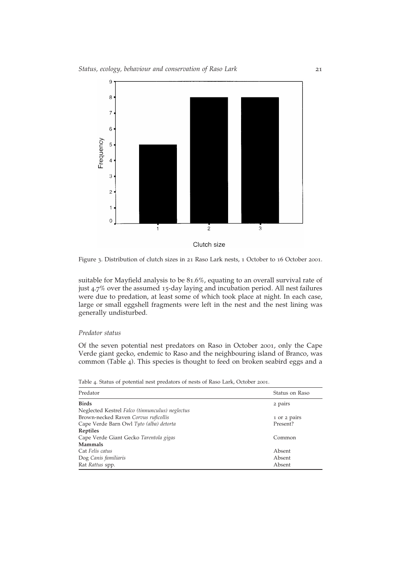

Figure 3. Distribution of clutch sizes in 21 Raso Lark nests, 1 October to 16 October 2001.

suitable for Mayfield analysis to be 81.6%, equating to an overall survival rate of just 4.7% over the assumed 15-day laying and incubation period. All nest failures were due to predation, at least some of which took place at night. In each case, large or small eggshell fragments were left in the nest and the nest lining was generally undisturbed.

# *Predator status*

Of the seven potential nest predators on Raso in October 2001, only the Cape Verde giant gecko, endemic to Raso and the neighbouring island of Branco, was common (Table 4). This species is thought to feed on broken seabird eggs and a

| Predator                                        | Status on Raso |
|-------------------------------------------------|----------------|
| <b>Birds</b>                                    | 2 pairs        |
| Neglected Kestrel Falco (tinnunculus) neglectus |                |
| Brown-necked Raven Corvus ruficollis            | 1 or 2 pairs   |
| Cape Verde Barn Owl Tyto (alba) detorta         | Present?       |
| Reptiles                                        |                |
| Cape Verde Giant Gecko Tarentola gigas          | Common         |
| <b>Mammals</b>                                  |                |
| Cat Felis catus                                 | Absent         |
| Dog Canis familiaris                            | Absent         |
| Rat Rattus spp.                                 | Absent         |

Table 4. Status of potential nest predators of nests of Raso Lark, October 2001.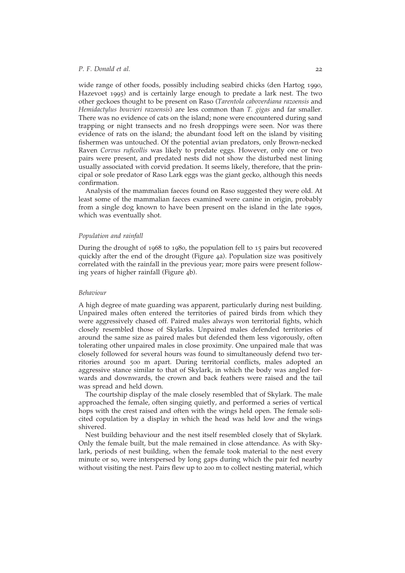wide range of other foods, possibly including seabird chicks (den Hartog 1990, Hazevoet 1995) and is certainly large enough to predate a lark nest. The two other geckoes thought to be present on Raso (*Tarentola caboverdiana razoensis* and *Hemidactylus bouvieri razoensis*) are less common than *T. gigas* and far smaller. There was no evidence of cats on the island; none were encountered during sand trapping or night transects and no fresh droppings were seen. Nor was there evidence of rats on the island; the abundant food left on the island by visiting fishermen was untouched. Of the potential avian predators, only Brown-necked Raven *Corvus ruficollis* was likely to predate eggs. However, only one or two pairs were present, and predated nests did not show the disturbed nest lining usually associated with corvid predation. It seems likely, therefore, that the principal or sole predator of Raso Lark eggs was the giant gecko, although this needs confirmation.

Analysis of the mammalian faeces found on Raso suggested they were old. At least some of the mammalian faeces examined were canine in origin, probably from a single dog known to have been present on the island in the late 1990s, which was eventually shot.

#### *Population and rainfall*

During the drought of 1968 to 1980, the population fell to 15 pairs but recovered quickly after the end of the drought (Figure 4a). Population size was positively correlated with the rainfall in the previous year; more pairs were present following years of higher rainfall (Figure 4b).

#### *Behaviour*

A high degree of mate guarding was apparent, particularly during nest building. Unpaired males often entered the territories of paired birds from which they were aggressively chased off. Paired males always won territorial fights, which closely resembled those of Skylarks. Unpaired males defended territories of around the same size as paired males but defended them less vigorously, often tolerating other unpaired males in close proximity. One unpaired male that was closely followed for several hours was found to simultaneously defend two territories around 500 m apart. During territorial conflicts, males adopted an aggressive stance similar to that of Skylark, in which the body was angled forwards and downwards, the crown and back feathers were raised and the tail was spread and held down.

The courtship display of the male closely resembled that of Skylark. The male approached the female, often singing quietly, and performed a series of vertical hops with the crest raised and often with the wings held open. The female solicited copulation by a display in which the head was held low and the wings shivered.

Nest building behaviour and the nest itself resembled closely that of Skylark. Only the female built, but the male remained in close attendance. As with Skylark, periods of nest building, when the female took material to the nest every minute or so, were interspersed by long gaps during which the pair fed nearby without visiting the nest. Pairs flew up to 200 m to collect nesting material, which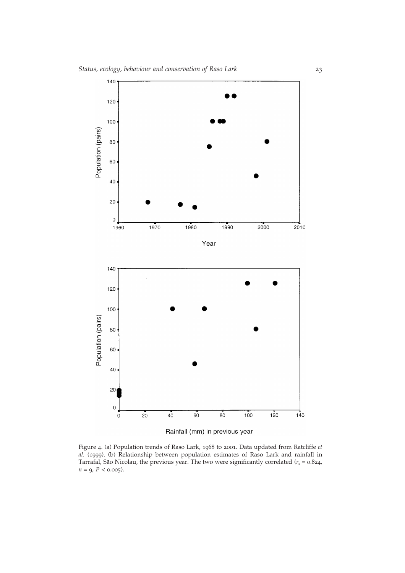



Figure 4. (a) Population trends of Raso Lark, 1968 to 2001. Data updated from Ratcliffe *et al*. (1999). (b) Relationship between population estimates of Raso Lark and rainfall in Tarrafal, São Nicolau, the previous year. The two were significantly correlated  $(r_s = 0.824,$  $n = 9$ ,  $P < 0.005$ ).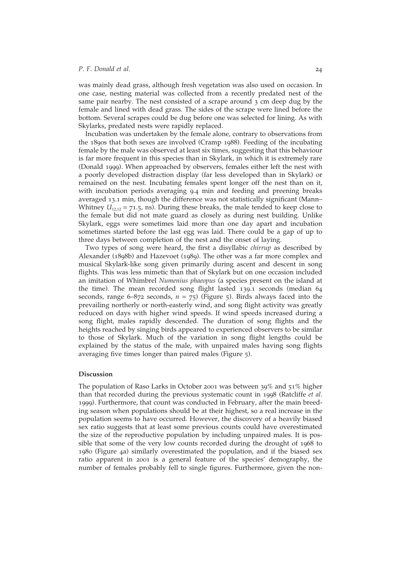was mainly dead grass, although fresh vegetation was also used on occasion. In one case, nesting material was collected from a recently predated nest of the same pair nearby. The nest consisted of a scrape around 3 cm deep dug by the female and lined with dead grass. The sides of the scrape were lined before the bottom. Several scrapes could be dug before one was selected for lining. As with Skylarks, predated nests were rapidly replaced.

Incubation was undertaken by the female alone, contrary to observations from the 1890s that both sexes are involved (Cramp 1988). Feeding of the incubating female by the male was observed at least six times, suggesting that this behaviour is far more frequent in this species than in Skylark, in which it is extremely rare (Donald 1999). When approached by observers, females either left the nest with a poorly developed distraction display (far less developed than in Skylark) or remained on the nest. Incubating females spent longer off the nest than on it, with incubation periods averaging 9.4 min and feeding and preening breaks averaged 13.1 min, though the difference was not statistically significant (Mann– Whitney  $U_{12,12} = 71.5$ , ns). During these breaks, the male tended to keep close to the female but did not mate guard as closely as during nest building. Unlike Skylark, eggs were sometimes laid more than one day apart and incubation sometimes started before the last egg was laid. There could be a gap of up to three days between completion of the nest and the onset of laying.

Two types of song were heard, the first a disyllabic *chirrup* as described by Alexander (1898b) and Hazevoet (1989). The other was a far more complex and musical Skylark-like song given primarily during ascent and descent in song flights. This was less mimetic than that of Skylark but on one occasion included an imitation of Whimbrel *Numenius phaeopus* (a species present on the island at the time). The mean recorded song flight lasted 139.1 seconds (median 64 seconds, range  $6-872$  seconds,  $n = 75$ ) (Figure 5). Birds always faced into the prevailing northerly or north-easterly wind, and song flight activity was greatly reduced on days with higher wind speeds. If wind speeds increased during a song flight, males rapidly descended. The duration of song flights and the heights reached by singing birds appeared to experienced observers to be similar to those of Skylark. Much of the variation in song flight lengths could be explained by the status of the male, with unpaired males having song flights averaging five times longer than paired males (Figure 5).

## **Discussion**

The population of Raso Larks in October 2001 was between 39% and 51% higher than that recorded during the previous systematic count in 1998 (Ratcliffe *et al*. 1999). Furthermore, that count was conducted in February, after the main breeding season when populations should be at their highest, so a real increase in the population seems to have occurred. However, the discovery of a heavily biased sex ratio suggests that at least some previous counts could have overestimated the size of the reproductive population by including unpaired males. It is possible that some of the very low counts recorded during the drought of 1968 to 1980 (Figure 4a) similarly overestimated the population, and if the biased sex ratio apparent in 2001 is a general feature of the species' demography, the number of females probably fell to single figures. Furthermore, given the non-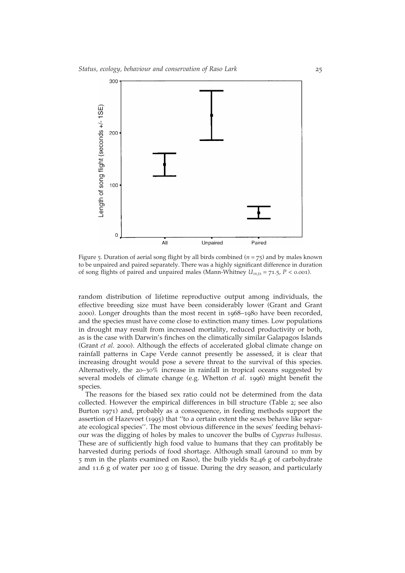

Figure 5. Duration of aerial song flight by all birds combined (*n* = 75) and by males known to be unpaired and paired separately. There was a highly significant difference in duration of song flights of paired and unpaired males (Mann-Whitney  $U_{19,23} = 71.5$ ,  $P < 0.001$ ).

random distribution of lifetime reproductive output among individuals, the effective breeding size must have been considerably lower (Grant and Grant 2000). Longer droughts than the most recent in 1968–1980 have been recorded, and the species must have come close to extinction many times. Low populations in drought may result from increased mortality, reduced productivity or both, as is the case with Darwin's finches on the climatically similar Galapagos Islands (Grant *et al*. 2000). Although the effects of accelerated global climate change on rainfall patterns in Cape Verde cannot presently be assessed, it is clear that increasing drought would pose a severe threat to the survival of this species. Alternatively, the 20–30% increase in rainfall in tropical oceans suggested by several models of climate change (e.g. Whetton *et al*. 1996) might benefit the species.

The reasons for the biased sex ratio could not be determined from the data collected. However the empirical differences in bill structure (Table 2; see also Burton 1971) and, probably as a consequence, in feeding methods support the assertion of Hazevoet (1995) that ''to a certain extent the sexes behave like separate ecological species''. The most obvious difference in the sexes' feeding behaviour was the digging of holes by males to uncover the bulbs of *Cyperus bulbosus*. These are of sufficiently high food value to humans that they can profitably be harvested during periods of food shortage. Although small (around 10 mm by 5 mm in the plants examined on Raso), the bulb yields 82.46 g of carbohydrate and 11.6 g of water per 100 g of tissue. During the dry season, and particularly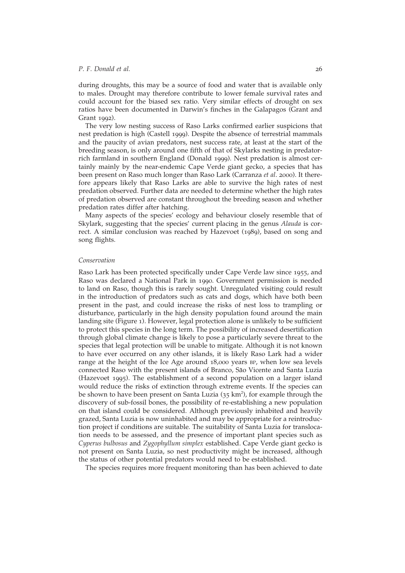during droughts, this may be a source of food and water that is available only to males. Drought may therefore contribute to lower female survival rates and could account for the biased sex ratio. Very similar effects of drought on sex ratios have been documented in Darwin's finches in the Galapagos (Grant and Grant 1992).

The very low nesting success of Raso Larks confirmed earlier suspicions that nest predation is high (Castell 1999). Despite the absence of terrestrial mammals and the paucity of avian predators, nest success rate, at least at the start of the breeding season, is only around one fifth of that of Skylarks nesting in predatorrich farmland in southern England (Donald 1999). Nest predation is almost certainly mainly by the near-endemic Cape Verde giant gecko, a species that has been present on Raso much longer than Raso Lark (Carranza *et al*. 2000). It therefore appears likely that Raso Larks are able to survive the high rates of nest predation observed. Further data are needed to determine whether the high rates of predation observed are constant throughout the breeding season and whether predation rates differ after hatching.

Many aspects of the species' ecology and behaviour closely resemble that of Skylark, suggesting that the species' current placing in the genus *Alauda* is correct. A similar conclusion was reached by Hazevoet (1989), based on song and song flights.

#### *Conservation*

Raso Lark has been protected specifically under Cape Verde law since 1955, and Raso was declared a National Park in 1990. Government permission is needed to land on Raso, though this is rarely sought. Unregulated visiting could result in the introduction of predators such as cats and dogs, which have both been present in the past, and could increase the risks of nest loss to trampling or disturbance, particularly in the high density population found around the main landing site (Figure 1). However, legal protection alone is unlikely to be sufficient to protect this species in the long term. The possibility of increased desertification through global climate change is likely to pose a particularly severe threat to the species that legal protection will be unable to mitigate. Although it is not known to have ever occurred on any other islands, it is likely Raso Lark had a wider range at the height of the Ice Age around 18,000 years BP, when low sea levels connected Raso with the present islands of Branco, São Vicente and Santa Luzia (Hazevoet 1995). The establishment of a second population on a larger island would reduce the risks of extinction through extreme events. If the species can be shown to have been present on Santa Luzia (35 km<sup>2</sup>), for example through the discovery of sub-fossil bones, the possibility of re-establishing a new population on that island could be considered. Although previously inhabited and heavily grazed, Santa Luzia is now uninhabited and may be appropriate for a reintroduction project if conditions are suitable. The suitability of Santa Luzia for translocation needs to be assessed, and the presence of important plant species such as *Cyperus bulbosus* and *Zygophyllum simplex* established. Cape Verde giant gecko is not present on Santa Luzia, so nest productivity might be increased, although the status of other potential predators would need to be established.

The species requires more frequent monitoring than has been achieved to date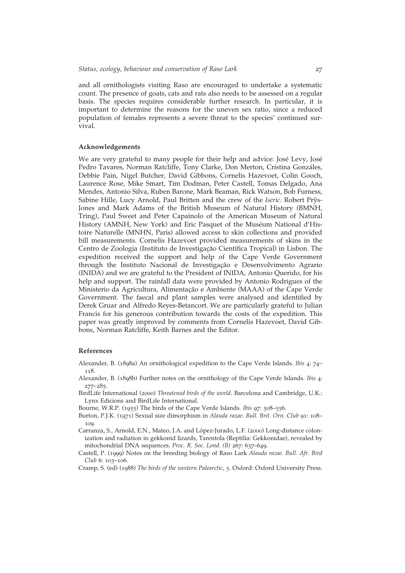and all ornithologists visiting Raso are encouraged to undertake a systematic count. The presence of goats, cats and rats also needs to be assessed on a regular basis. The species requires considerable further research. In particular, it is important to determine the reasons for the uneven sex ratio, since a reduced population of females represents a severe threat to the species' continued survival.

## **Acknowledgements**

We are very grateful to many people for their help and advice: José Levy, José Pedro Tavares, Norman Ratcliffe, Tony Clarke, Don Merton, Cristina Gonzáles, Debbie Pain, Nigel Butcher, David Gibbons, Cornelis Hazevoet, Colin Gooch, Laurence Rose, Mike Smart, Tim Dodman, Peter Castell, Tomas Delgado, Ana Mendes, Antonio Silva, Ruben Barone, Mark Beaman, Rick Watson, Bob Furness, Sabine Hille, Lucy Arnold, Paul Britten and the crew of the *Iseric*. Robert Pryˆs-Jones and Mark Adams of the British Museum of Natural History (BMNH, Tring), Paul Sweet and Peter Capainolo of the American Museum of Natural History (AMNH, New York) and Eric Pasquet of the Muséum National d'Histoire Naturelle (MNHN, Paris) allowed access to skin collections and provided bill measurements. Cornelis Hazevoet provided measurements of skins in the Centro de Zoologia (Instituto de Investigação Científica Tropical) in Lisbon. The expedition received the support and help of the Cape Verde Government through the Instituto Nacional de Investigação e Desenvolvimento Agrario (INIDA) and we are grateful to the President of INIDA, Antonio Querido, for his help and support. The rainfall data were provided by Antonio Rodrigues of the Ministerio da Agricultura, Alimentação e Ambiente (MAAA) of the Cape Verde Government. The faecal and plant samples were analysed and identified by Derek Gruar and Alfredo Reyes-Betancort. We are particularly grateful to Julian Francis for his generous contribution towards the costs of the expedition. This paper was greatly improved by comments from Cornelis Hazevoet, David Gibbons, Norman Ratcliffe, Keith Barnes and the Editor.

#### **References**

Alexander, B. (1898a) An ornithological expedition to the Cape Verde Islands. *Ibis* 4: 74– 118.

- Alexander, B. (1898b) Further notes on the ornithology of the Cape Verde Islands. *Ibis* 4: 277–285.
- BirdLife International (2000) *Threatened birds of the world*. Barcelona and Cambridge, U.K.: Lynx Edicions and BirdLife International.
- Bourne, W.R.P. (1955) The birds of the Cape Verde Islands. *Ibis* 97: 508–556.
- Burton, P.J.K. (1971) Sexual size dimorphism in *Alauda razae*. *Bull. Brit. Orn. Club* 91: 108– 100
- Carranza, S., Arnold, E.N., Mateo, J.A. and López-Jurado, L.F. (2000) Long-distance colonization and radiation in gekkonid lizards, Tarentola (Reptilia: Gekkonidae), revealed by mitochondrial DNA sequences. *Proc. R. Soc. Lond. (B)* 267: 637–649.
- Castell, P. (1999) Notes on the breeding biology of Raso Lark *Alauda razae. Bull. Afr. Bird Club* 6: 103–106.
- Cramp, S. (ed) (1988) *The birds of the western Palearctic*, 5. Oxford: Oxford University Press.